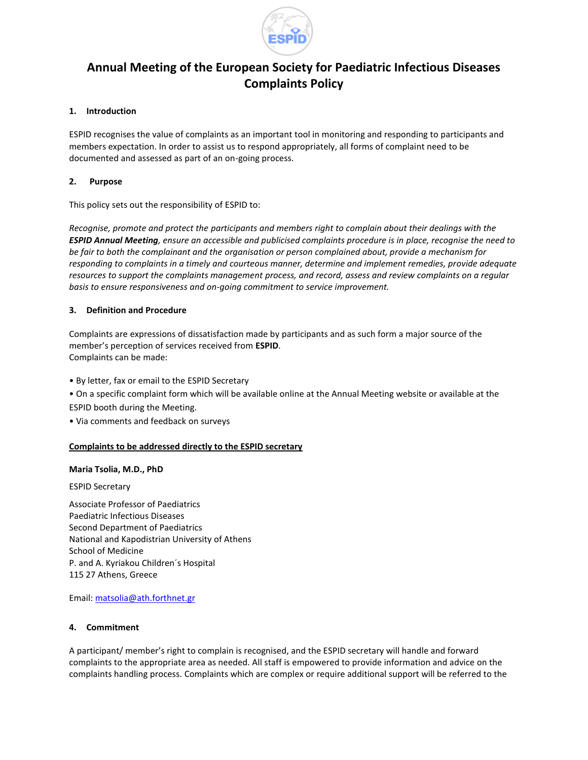

# **Annual Meeting of the European Society for Paediatric Infectious Diseases Complaints Policy**

## **1. Introduction**

ESPID recognises the value of complaints as an important tool in monitoring and responding to participants and members expectation. In order to assist us to respond appropriately, all forms of complaint need to be documented and assessed as part of an on-going process.

## **2. Purpose**

This policy sets out the responsibility of ESPID to:

*Recognise, promote and protect the participants and members right to complain about their dealings with the ESPID Annual Meeting, ensure an accessible and publicised complaints procedure is in place, recognise the need to be fair to both the complainant and the organisation or person complained about, provide a mechanism for responding to complaints in a timely and courteous manner, determine and implement remedies, provide adequate resources to support the complaints management process, and record, assess and review complaints on a regular basis to ensure responsiveness and on-going commitment to service improvement.*

### **3. Definition and Procedure**

Complaints are expressions of dissatisfaction made by participants and as such form a major source of the member's perception of services received from **ESPID**. Complaints can be made:

• By letter, fax or email to the ESPID Secretary

• On a specific complaint form which will be available online at the Annual Meeting website or available at the ESPID booth during the Meeting.

• Via comments and feedback on surveys

### **Complaints to be addressed directly to the ESPID secretary**

#### **Maria Tsolia, M.D., PhD**

ESPID Secretary

Associate Professor of Paediatrics Paediatric Infectious Diseases Second Department of Paediatrics National and Kapodistrian University of Athens School of Medicine P. and A. Kyriakou Children´s Hospital 115 27 Athens, Greece

Email: [matsolia@ath.forthnet.gr](mailto:matsolia@ath.forthnet.gr)

#### **4. Commitment**

A participant/ member's right to complain is recognised, and the ESPID secretary will handle and forward complaints to the appropriate area as needed. All staff is empowered to provide information and advice on the complaints handling process. Complaints which are complex or require additional support will be referred to the